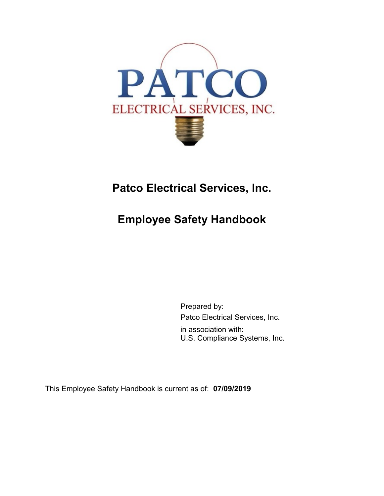

# **Patco Electrical Services, Inc.**

# **Employee Safety Handbook**

Prepared by: Patco Electrical Services, Inc. in association with: U.S. Compliance Systems, Inc.

This Employee Safety Handbook is current as of: **07/09/2019**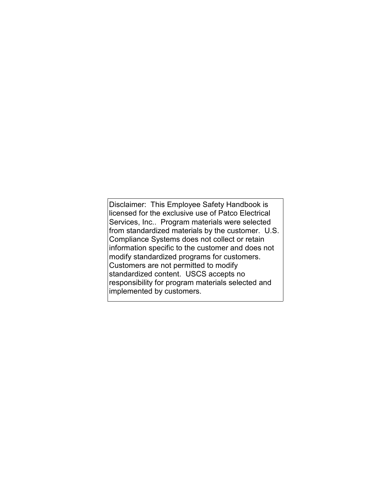Disclaimer: This Employee Safety Handbook is licensed for the exclusive use of Patco Electrical Services, Inc.. Program materials were selected from standardized materials by the customer. U.S. Compliance Systems does not collect or retain information specific to the customer and does not modify standardized programs for customers. Customers are not permitted to modify standardized content. USCS accepts no responsibility for program materials selected and implemented by customers.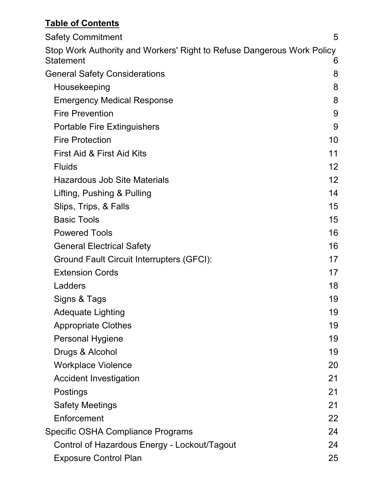## **Table of Contents**

| <b>Safety Commitment</b>                                                            | 5                 |
|-------------------------------------------------------------------------------------|-------------------|
| Stop Work Authority and Workers' Right to Refuse Dangerous Work Policy<br>Statement | 6                 |
| <b>General Safety Considerations</b>                                                | 8                 |
| Housekeeping                                                                        | 8                 |
| <b>Emergency Medical Response</b>                                                   | 8                 |
| <b>Fire Prevention</b>                                                              | 9                 |
| <b>Portable Fire Extinguishers</b>                                                  | 9                 |
| <b>Fire Protection</b>                                                              | 10                |
| First Aid & First Aid Kits                                                          | 11                |
| <b>Fluids</b>                                                                       | $12 \overline{ }$ |
| <b>Hazardous Job Site Materials</b>                                                 | 12                |
| Lifting, Pushing & Pulling                                                          | 14                |
| Slips, Trips, & Falls                                                               | 15                |
| <b>Basic Tools</b>                                                                  | 15                |
| <b>Powered Tools</b>                                                                | 16                |
| <b>General Electrical Safety</b>                                                    | 16                |
| Ground Fault Circuit Interrupters (GFCI):                                           | 17                |
| <b>Extension Cords</b>                                                              | 17                |
| Ladders                                                                             | 18                |
| Signs & Tags                                                                        | 19                |
| <b>Adequate Lighting</b>                                                            | 19                |
| <b>Appropriate Clothes</b>                                                          | 19                |
| <b>Personal Hygiene</b>                                                             | 19                |
| Drugs & Alcohol                                                                     | 19                |
| <b>Workplace Violence</b>                                                           | 20                |
| <b>Accident Investigation</b>                                                       | 21                |
| Postings                                                                            | 21                |
| <b>Safety Meetings</b>                                                              | 21                |
| Enforcement                                                                         | 22                |
| Specific OSHA Compliance Programs                                                   | 24                |
| Control of Hazardous Energy - Lockout/Tagout                                        | 24                |
| <b>Exposure Control Plan</b>                                                        | 25                |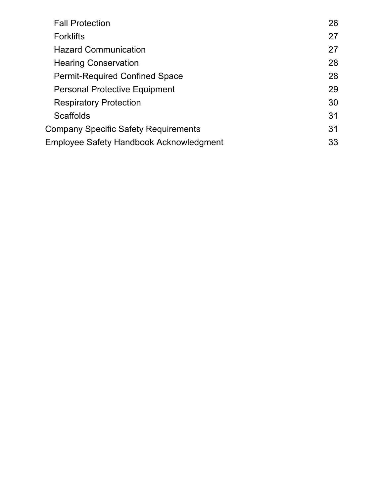| <b>Fall Protection</b>                         | 26 |
|------------------------------------------------|----|
| <b>Forklifts</b>                               | 27 |
| <b>Hazard Communication</b>                    | 27 |
| <b>Hearing Conservation</b>                    | 28 |
| <b>Permit-Required Confined Space</b>          | 28 |
| <b>Personal Protective Equipment</b>           | 29 |
| <b>Respiratory Protection</b>                  | 30 |
| <b>Scaffolds</b>                               | 31 |
| <b>Company Specific Safety Requirements</b>    | 31 |
| <b>Employee Safety Handbook Acknowledgment</b> | 33 |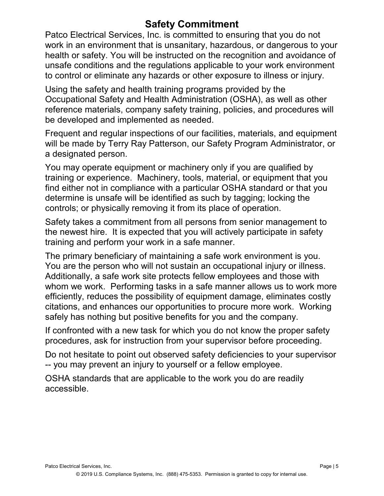## **Safety Commitment**

Patco Electrical Services, Inc. is committed to ensuring that you do not work in an environment that is unsanitary, hazardous, or dangerous to your health or safety. You will be instructed on the recognition and avoidance of unsafe conditions and the regulations applicable to your work environment to control or eliminate any hazards or other exposure to illness or injury.

Using the safety and health training programs provided by the Occupational Safety and Health Administration (OSHA), as well as other reference materials, company safety training, policies, and procedures will be developed and implemented as needed.

Frequent and regular inspections of our facilities, materials, and equipment will be made by Terry Ray Patterson, our Safety Program Administrator, or a designated person.

You may operate equipment or machinery only if you are qualified by training or experience. Machinery, tools, material, or equipment that you find either not in compliance with a particular OSHA standard or that you determine is unsafe will be identified as such by tagging; locking the controls; or physically removing it from its place of operation.

Safety takes a commitment from all persons from senior management to the newest hire. It is expected that you will actively participate in safety training and perform your work in a safe manner.

The primary beneficiary of maintaining a safe work environment is you. You are the person who will not sustain an occupational injury or illness. Additionally, a safe work site protects fellow employees and those with whom we work. Performing tasks in a safe manner allows us to work more efficiently, reduces the possibility of equipment damage, eliminates costly citations, and enhances our opportunities to procure more work. Working safely has nothing but positive benefits for you and the company.

If confronted with a new task for which you do not know the proper safety procedures, ask for instruction from your supervisor before proceeding.

Do not hesitate to point out observed safety deficiencies to your supervisor -- you may prevent an injury to yourself or a fellow employee.

OSHA standards that are applicable to the work you do are readily accessible.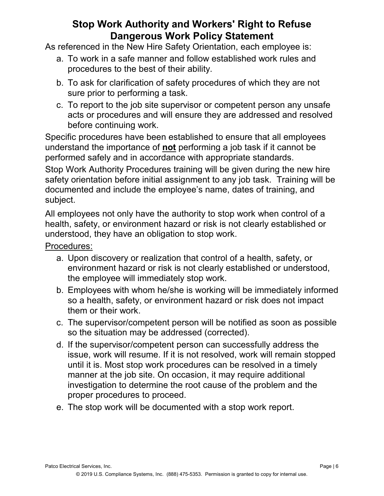## **Stop Work Authority and Workers' Right to Refuse Dangerous Work Policy Statement**

As referenced in the New Hire Safety Orientation, each employee is:

- a. To work in a safe manner and follow established work rules and procedures to the best of their ability.
- b. To ask for clarification of safety procedures of which they are not sure prior to performing a task.
- c. To report to the job site supervisor or competent person any unsafe acts or procedures and will ensure they are addressed and resolved before continuing work.

Specific procedures have been established to ensure that all employees understand the importance of **not** performing a job task if it cannot be performed safely and in accordance with appropriate standards.

Stop Work Authority Procedures training will be given during the new hire safety orientation before initial assignment to any job task. Training will be documented and include the employee's name, dates of training, and subject.

All employees not only have the authority to stop work when control of a health, safety, or environment hazard or risk is not clearly established or understood, they have an obligation to stop work.

Procedures:

- a. Upon discovery or realization that control of a health, safety, or environment hazard or risk is not clearly established or understood, the employee will immediately stop work.
- b. Employees with whom he/she is working will be immediately informed so a health, safety, or environment hazard or risk does not impact them or their work.
- c. The supervisor/competent person will be notified as soon as possible so the situation may be addressed (corrected).
- d. If the supervisor/competent person can successfully address the issue, work will resume. If it is not resolved, work will remain stopped until it is. Most stop work procedures can be resolved in a timely manner at the job site. On occasion, it may require additional investigation to determine the root cause of the problem and the proper procedures to proceed.
- e. The stop work will be documented with a stop work report.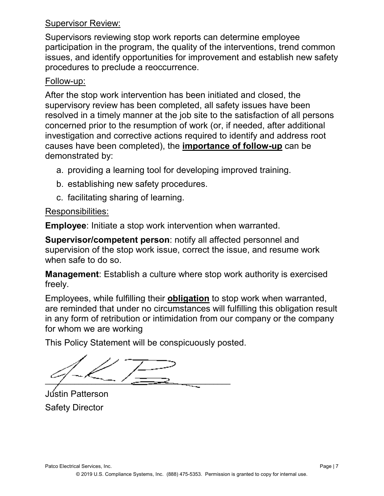#### Supervisor Review:

Supervisors reviewing stop work reports can determine employee participation in the program, the quality of the interventions, trend common issues, and identify opportunities for improvement and establish new safety procedures to preclude a reoccurrence.

#### Follow-up:

After the stop work intervention has been initiated and closed, the supervisory review has been completed, all safety issues have been resolved in a timely manner at the job site to the satisfaction of all persons concerned prior to the resumption of work (or, if needed, after additional investigation and corrective actions required to identify and address root causes have been completed), the **importance of follow-up** can be demonstrated by:

- a. providing a learning tool for developing improved training.
- b. establishing new safety procedures.
- c. facilitating sharing of learning.

#### Responsibilities:

**Employee**: Initiate a stop work intervention when warranted.

**Supervisor/competent person**: notify all affected personnel and supervision of the stop work issue, correct the issue, and resume work when safe to do so.

**Management**: Establish a culture where stop work authority is exercised freely.

Employees, while fulfilling their **obligation** to stop work when warranted, are reminded that under no circumstances will fulfilling this obligation result in any form of retribution or intimidation from our company or the company for whom we are working

This Policy Statement will be conspicuously posted.

 $\frac{1}{\sqrt{2\pi}}$ 

Jústin Patterson Safety Director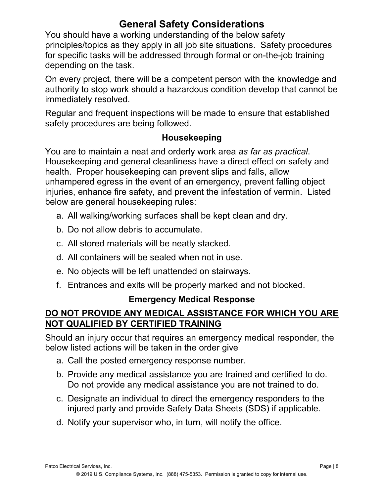## **General Safety Considerations**

You should have a working understanding of the below safety principles/topics as they apply in all job site situations. Safety procedures for specific tasks will be addressed through formal or on-the-job training depending on the task.

On every project, there will be a competent person with the knowledge and authority to stop work should a hazardous condition develop that cannot be immediately resolved.

Regular and frequent inspections will be made to ensure that established safety procedures are being followed.

### **Housekeeping**

You are to maintain a neat and orderly work area *as far as practical*. Housekeeping and general cleanliness have a direct effect on safety and health. Proper housekeeping can prevent slips and falls, allow unhampered egress in the event of an emergency, prevent falling object injuries, enhance fire safety, and prevent the infestation of vermin. Listed below are general housekeeping rules:

- a. All walking/working surfaces shall be kept clean and dry.
- b. Do not allow debris to accumulate.
- c. All stored materials will be neatly stacked.
- d. All containers will be sealed when not in use.
- e. No objects will be left unattended on stairways.
- f. Entrances and exits will be properly marked and not blocked.

#### **Emergency Medical Response**

### **DO NOT PROVIDE ANY MEDICAL ASSISTANCE FOR WHICH YOU ARE NOT QUALIFIED BY CERTIFIED TRAINING**

Should an injury occur that requires an emergency medical responder, the below listed actions will be taken in the order give

- a. Call the posted emergency response number.
- b. Provide any medical assistance you are trained and certified to do. Do not provide any medical assistance you are not trained to do.
- c. Designate an individual to direct the emergency responders to the injured party and provide Safety Data Sheets (SDS) if applicable.
- d. Notify your supervisor who, in turn, will notify the office.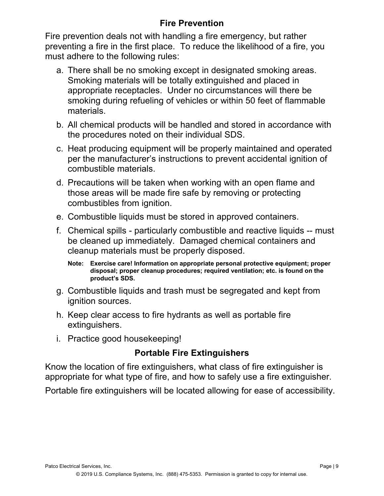## **Fire Prevention**

Fire prevention deals not with handling a fire emergency, but rather preventing a fire in the first place. To reduce the likelihood of a fire, you must adhere to the following rules:

- a. There shall be no smoking except in designated smoking areas. Smoking materials will be totally extinguished and placed in appropriate receptacles. Under no circumstances will there be smoking during refueling of vehicles or within 50 feet of flammable materials.
- b. All chemical products will be handled and stored in accordance with the procedures noted on their individual SDS.
- c. Heat producing equipment will be properly maintained and operated per the manufacturer's instructions to prevent accidental ignition of combustible materials.
- d. Precautions will be taken when working with an open flame and those areas will be made fire safe by removing or protecting combustibles from ignition.
- e. Combustible liquids must be stored in approved containers.
- f. Chemical spills particularly combustible and reactive liquids -- must be cleaned up immediately. Damaged chemical containers and cleanup materials must be properly disposed.
	- **Note: Exercise care! Information on appropriate personal protective equipment; proper disposal; proper cleanup procedures; required ventilation; etc. is found on the product's SDS.**
- g. Combustible liquids and trash must be segregated and kept from ignition sources.
- h. Keep clear access to fire hydrants as well as portable fire extinguishers.
- i. Practice good housekeeping!

## **Portable Fire Extinguishers**

Know the location of fire extinguishers, what class of fire extinguisher is appropriate for what type of fire, and how to safely use a fire extinguisher.

Portable fire extinguishers will be located allowing for ease of accessibility.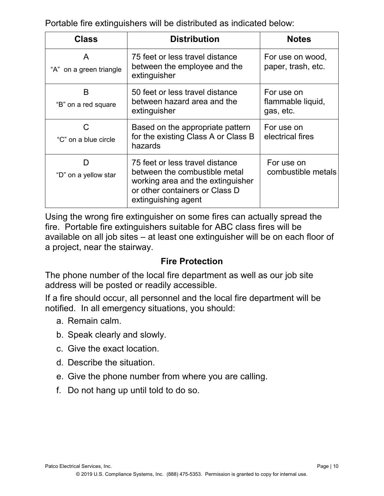Portable fire extinguishers will be distributed as indicated below:

| <b>Class</b>                 | <b>Distribution</b>                                                                                                                                            | <b>Notes</b>                                 |
|------------------------------|----------------------------------------------------------------------------------------------------------------------------------------------------------------|----------------------------------------------|
| A<br>"A" on a green triangle | 75 feet or less travel distance<br>between the employee and the<br>extinguisher                                                                                | For use on wood,<br>paper, trash, etc.       |
| B<br>"B" on a red square     | 50 feet or less travel distance<br>between hazard area and the<br>extinguisher                                                                                 | For use on<br>flammable liquid,<br>gas, etc. |
| "C" on a blue circle         | Based on the appropriate pattern<br>for the existing Class A or Class B<br>hazards                                                                             | For use on<br>electrical fires               |
| וו<br>"D" on a yellow star   | 75 feet or less travel distance<br>between the combustible metal<br>working area and the extinguisher<br>or other containers or Class D<br>extinguishing agent | For use on<br>combustible metals             |

Using the wrong fire extinguisher on some fires can actually spread the fire. Portable fire extinguishers suitable for ABC class fires will be available on all job sites – at least one extinguisher will be on each floor of a project, near the stairway.

#### **Fire Protection**

The phone number of the local fire department as well as our job site address will be posted or readily accessible.

If a fire should occur, all personnel and the local fire department will be notified. In all emergency situations, you should:

- a. Remain calm.
- b. Speak clearly and slowly.
- c. Give the exact location.
- d. Describe the situation.
- e. Give the phone number from where you are calling.
- f. Do not hang up until told to do so.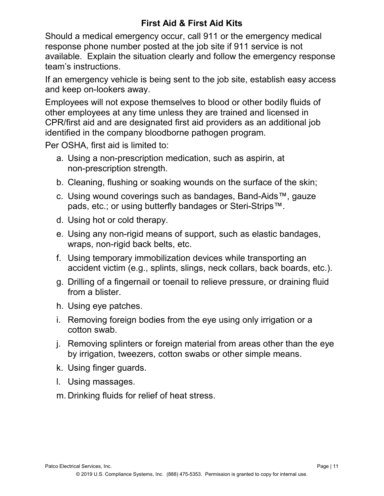## **First Aid & First Aid Kits**

Should a medical emergency occur, call 911 or the emergency medical response phone number posted at the job site if 911 service is not available. Explain the situation clearly and follow the emergency response team's instructions.

If an emergency vehicle is being sent to the job site, establish easy access and keep on-lookers away.

Employees will not expose themselves to blood or other bodily fluids of other employees at any time unless they are trained and licensed in CPR/first aid and are designated first aid providers as an additional job identified in the company bloodborne pathogen program.

Per OSHA, first aid is limited to:

- a. Using a non-prescription medication, such as aspirin, at non-prescription strength.
- b. Cleaning, flushing or soaking wounds on the surface of the skin;
- c. Using wound coverings such as bandages, Band-Aids™, gauze pads, etc.; or using butterfly bandages or Steri-Strips™.
- d. Using hot or cold therapy.
- e. Using any non-rigid means of support, such as elastic bandages, wraps, non-rigid back belts, etc.
- f. Using temporary immobilization devices while transporting an accident victim (e.g., splints, slings, neck collars, back boards, etc.).
- g. Drilling of a fingernail or toenail to relieve pressure, or draining fluid from a blister.
- h. Using eye patches.
- i. Removing foreign bodies from the eye using only irrigation or a cotton swab.
- j. Removing splinters or foreign material from areas other than the eye by irrigation, tweezers, cotton swabs or other simple means.
- k. Using finger guards.
- l. Using massages.
- m. Drinking fluids for relief of heat stress.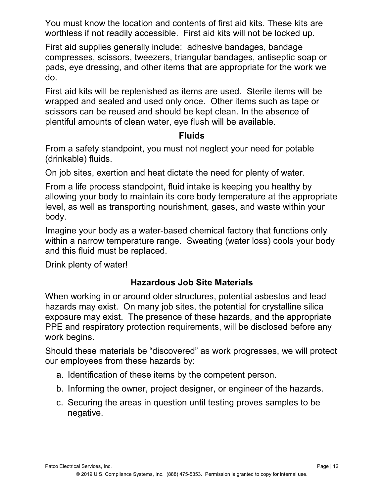You must know the location and contents of first aid kits. These kits are worthless if not readily accessible. First aid kits will not be locked up.

First aid supplies generally include: adhesive bandages, bandage compresses, scissors, tweezers, triangular bandages, antiseptic soap or pads, eye dressing, and other items that are appropriate for the work we do.

First aid kits will be replenished as items are used. Sterile items will be wrapped and sealed and used only once. Other items such as tape or scissors can be reused and should be kept clean. In the absence of plentiful amounts of clean water, eye flush will be available.

#### **Fluids**

From a safety standpoint, you must not neglect your need for potable (drinkable) fluids.

On job sites, exertion and heat dictate the need for plenty of water.

From a life process standpoint, fluid intake is keeping you healthy by allowing your body to maintain its core body temperature at the appropriate level, as well as transporting nourishment, gases, and waste within your body.

Imagine your body as a water-based chemical factory that functions only within a narrow temperature range. Sweating (water loss) cools your body and this fluid must be replaced.

Drink plenty of water!

## **Hazardous Job Site Materials**

When working in or around older structures, potential asbestos and lead hazards may exist. On many job sites, the potential for crystalline silica exposure may exist. The presence of these hazards, and the appropriate PPE and respiratory protection requirements, will be disclosed before any work begins.

Should these materials be "discovered" as work progresses, we will protect our employees from these hazards by:

- a. Identification of these items by the competent person.
- b. Informing the owner, project designer, or engineer of the hazards.
- c. Securing the areas in question until testing proves samples to be negative.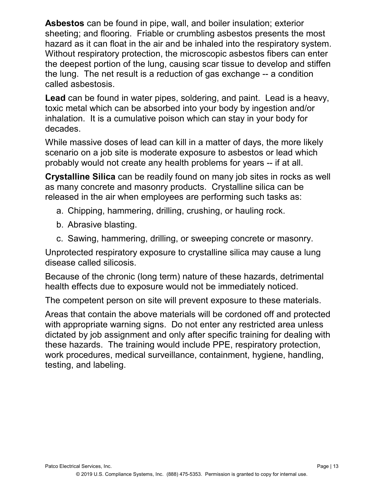**Asbestos** can be found in pipe, wall, and boiler insulation; exterior sheeting; and flooring. Friable or crumbling asbestos presents the most hazard as it can float in the air and be inhaled into the respiratory system. Without respiratory protection, the microscopic asbestos fibers can enter the deepest portion of the lung, causing scar tissue to develop and stiffen the lung. The net result is a reduction of gas exchange -- a condition called asbestosis.

**Lead** can be found in water pipes, soldering, and paint. Lead is a heavy, toxic metal which can be absorbed into your body by ingestion and/or inhalation. It is a cumulative poison which can stay in your body for decades.

While massive doses of lead can kill in a matter of days, the more likely scenario on a job site is moderate exposure to asbestos or lead which probably would not create any health problems for years -- if at all.

**Crystalline Silica** can be readily found on many job sites in rocks as well as many concrete and masonry products. Crystalline silica can be released in the air when employees are performing such tasks as:

- a. Chipping, hammering, drilling, crushing, or hauling rock.
- b. Abrasive blasting.
- c. Sawing, hammering, drilling, or sweeping concrete or masonry.

Unprotected respiratory exposure to crystalline silica may cause a lung disease called silicosis.

Because of the chronic (long term) nature of these hazards, detrimental health effects due to exposure would not be immediately noticed.

The competent person on site will prevent exposure to these materials.

Areas that contain the above materials will be cordoned off and protected with appropriate warning signs. Do not enter any restricted area unless dictated by job assignment and only after specific training for dealing with these hazards. The training would include PPE, respiratory protection, work procedures, medical surveillance, containment, hygiene, handling, testing, and labeling.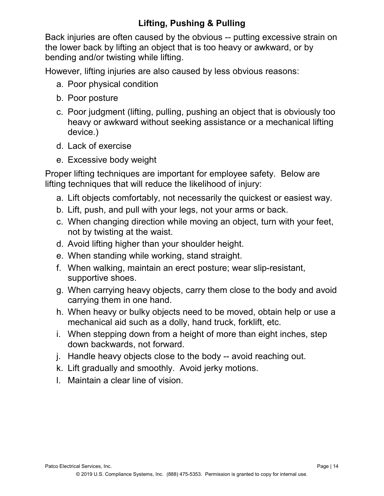## **Lifting, Pushing & Pulling**

Back injuries are often caused by the obvious -- putting excessive strain on the lower back by lifting an object that is too heavy or awkward, or by bending and/or twisting while lifting.

However, lifting injuries are also caused by less obvious reasons:

- a. Poor physical condition
- b. Poor posture
- c. Poor judgment (lifting, pulling, pushing an object that is obviously too heavy or awkward without seeking assistance or a mechanical lifting device.)
- d. Lack of exercise
- e. Excessive body weight

Proper lifting techniques are important for employee safety. Below are lifting techniques that will reduce the likelihood of injury:

- a. Lift objects comfortably, not necessarily the quickest or easiest way.
- b. Lift, push, and pull with your legs, not your arms or back.
- c. When changing direction while moving an object, turn with your feet, not by twisting at the waist.
- d. Avoid lifting higher than your shoulder height.
- e. When standing while working, stand straight.
- f. When walking, maintain an erect posture; wear slip-resistant, supportive shoes.
- g. When carrying heavy objects, carry them close to the body and avoid carrying them in one hand.
- h. When heavy or bulky objects need to be moved, obtain help or use a mechanical aid such as a dolly, hand truck, forklift, etc.
- i. When stepping down from a height of more than eight inches, step down backwards, not forward.
- j. Handle heavy objects close to the body -- avoid reaching out.
- k. Lift gradually and smoothly. Avoid jerky motions.
- l. Maintain a clear line of vision.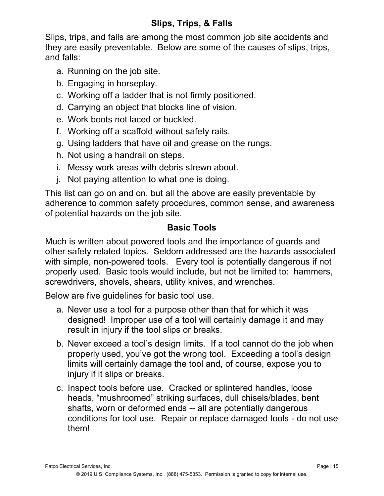## **Slips, Trips, & Falls**

Slips, trips, and falls are among the most common job site accidents and they are easily preventable. Below are some of the causes of slips, trips, and falls:

- a. Running on the job site.
- b. Engaging in horseplay.
- c. Working off a ladder that is not firmly positioned.
- d. Carrying an object that blocks line of vision.
- e. Work boots not laced or buckled.
- f. Working off a scaffold without safety rails.
- g. Using ladders that have oil and grease on the rungs.
- h. Not using a handrail on steps.
- i. Messy work areas with debris strewn about.
- j. Not paying attention to what one is doing.

This list can go on and on, but all the above are easily preventable by adherence to common safety procedures, common sense, and awareness of potential hazards on the job site.

#### **Basic Tools**

Much is written about powered tools and the importance of guards and other safety related topics. Seldom addressed are the hazards associated with simple, non-powered tools. Every tool is potentially dangerous if not properly used. Basic tools would include, but not be limited to: hammers, screwdrivers, shovels, shears, utility knives, and wrenches.

Below are five guidelines for basic tool use.

- a. Never use a tool for a purpose other than that for which it was designed! Improper use of a tool will certainly damage it and may result in injury if the tool slips or breaks.
- b. Never exceed a tool's design limits. If a tool cannot do the job when properly used, you've got the wrong tool. Exceeding a tool's design limits will certainly damage the tool and, of course, expose you to injury if it slips or breaks.
- c. Inspect tools before use. Cracked or splintered handles, loose heads, "mushroomed" striking surfaces, dull chisels/blades, bent shafts, worn or deformed ends -- all are potentially dangerous conditions for tool use. Repair or replace damaged tools - do not use them!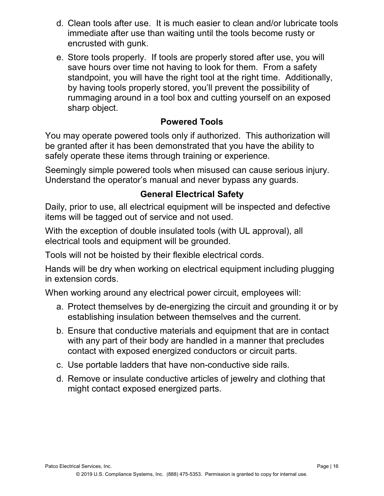- d. Clean tools after use. It is much easier to clean and/or lubricate tools immediate after use than waiting until the tools become rusty or encrusted with gunk.
- e. Store tools properly. If tools are properly stored after use, you will save hours over time not having to look for them. From a safety standpoint, you will have the right tool at the right time. Additionally, by having tools properly stored, you'll prevent the possibility of rummaging around in a tool box and cutting yourself on an exposed sharp object.

## **Powered Tools**

You may operate powered tools only if authorized. This authorization will be granted after it has been demonstrated that you have the ability to safely operate these items through training or experience.

Seemingly simple powered tools when misused can cause serious injury. Understand the operator's manual and never bypass any guards.

## **General Electrical Safety**

Daily, prior to use, all electrical equipment will be inspected and defective items will be tagged out of service and not used.

With the exception of double insulated tools (with UL approval), all electrical tools and equipment will be grounded.

Tools will not be hoisted by their flexible electrical cords.

Hands will be dry when working on electrical equipment including plugging in extension cords.

When working around any electrical power circuit, employees will:

- a. Protect themselves by de-energizing the circuit and grounding it or by establishing insulation between themselves and the current.
- b. Ensure that conductive materials and equipment that are in contact with any part of their body are handled in a manner that precludes contact with exposed energized conductors or circuit parts.
- c. Use portable ladders that have non-conductive side rails.
- d. Remove or insulate conductive articles of jewelry and clothing that might contact exposed energized parts.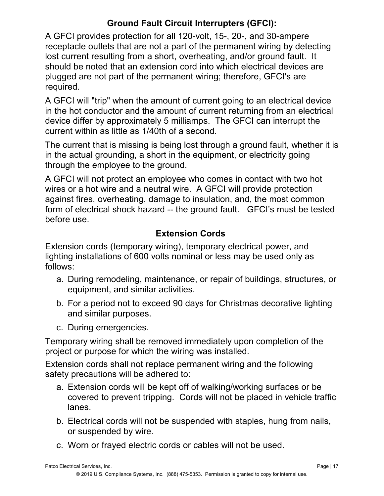## **Ground Fault Circuit Interrupters (GFCI):**

A GFCI provides protection for all 120-volt, 15-, 20-, and 30-ampere receptacle outlets that are not a part of the permanent wiring by detecting lost current resulting from a short, overheating, and/or ground fault. It should be noted that an extension cord into which electrical devices are plugged are not part of the permanent wiring; therefore, GFCI's are required.

A GFCI will "trip" when the amount of current going to an electrical device in the hot conductor and the amount of current returning from an electrical device differ by approximately 5 milliamps. The GFCI can interrupt the current within as little as 1/40th of a second.

The current that is missing is being lost through a ground fault, whether it is in the actual grounding, a short in the equipment, or electricity going through the employee to the ground.

A GFCI will not protect an employee who comes in contact with two hot wires or a hot wire and a neutral wire. A GFCI will provide protection against fires, overheating, damage to insulation, and, the most common form of electrical shock hazard -- the ground fault. GFCI's must be tested before use.

## **Extension Cords**

Extension cords (temporary wiring), temporary electrical power, and lighting installations of 600 volts nominal or less may be used only as follows:

- a. During remodeling, maintenance, or repair of buildings, structures, or equipment, and similar activities.
- b. For a period not to exceed 90 days for Christmas decorative lighting and similar purposes.
- c. During emergencies.

Temporary wiring shall be removed immediately upon completion of the project or purpose for which the wiring was installed.

Extension cords shall not replace permanent wiring and the following safety precautions will be adhered to:

- a. Extension cords will be kept off of walking/working surfaces or be covered to prevent tripping. Cords will not be placed in vehicle traffic lanes.
- b. Electrical cords will not be suspended with staples, hung from nails, or suspended by wire.
- c. Worn or frayed electric cords or cables will not be used.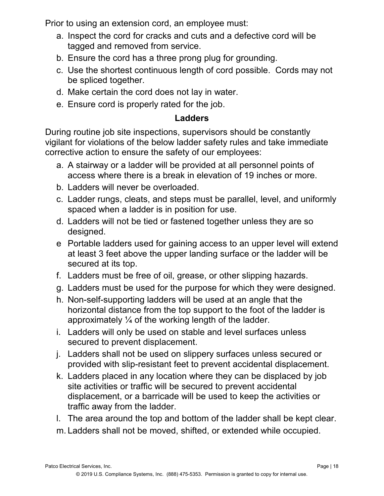Prior to using an extension cord, an employee must:

- a. Inspect the cord for cracks and cuts and a defective cord will be tagged and removed from service.
- b. Ensure the cord has a three prong plug for grounding.
- c. Use the shortest continuous length of cord possible. Cords may not be spliced together.
- d. Make certain the cord does not lay in water.
- e. Ensure cord is properly rated for the job.

### **Ladders**

During routine job site inspections, supervisors should be constantly vigilant for violations of the below ladder safety rules and take immediate corrective action to ensure the safety of our employees:

- a. A stairway or a ladder will be provided at all personnel points of access where there is a break in elevation of 19 inches or more.
- b. Ladders will never be overloaded.
- c. Ladder rungs, cleats, and steps must be parallel, level, and uniformly spaced when a ladder is in position for use.
- d. Ladders will not be tied or fastened together unless they are so designed.
- e Portable ladders used for gaining access to an upper level will extend at least 3 feet above the upper landing surface or the ladder will be secured at its top.
- f. Ladders must be free of oil, grease, or other slipping hazards.
- g. Ladders must be used for the purpose for which they were designed.
- h. Non-self-supporting ladders will be used at an angle that the horizontal distance from the top support to the foot of the ladder is approximately  $\frac{1}{4}$  of the working length of the ladder.
- i. Ladders will only be used on stable and level surfaces unless secured to prevent displacement.
- j. Ladders shall not be used on slippery surfaces unless secured or provided with slip-resistant feet to prevent accidental displacement.
- k. Ladders placed in any location where they can be displaced by job site activities or traffic will be secured to prevent accidental displacement, or a barricade will be used to keep the activities or traffic away from the ladder.
- l. The area around the top and bottom of the ladder shall be kept clear.
- m. Ladders shall not be moved, shifted, or extended while occupied.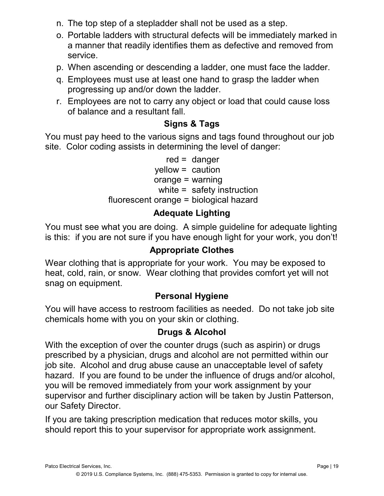- n. The top step of a stepladder shall not be used as a step.
- o. Portable ladders with structural defects will be immediately marked in a manner that readily identifies them as defective and removed from service.
- p. When ascending or descending a ladder, one must face the ladder.
- q. Employees must use at least one hand to grasp the ladder when progressing up and/or down the ladder.
- r. Employees are not to carry any object or load that could cause loss of balance and a resultant fall.

## **Signs & Tags**

You must pay heed to the various signs and tags found throughout our job site. Color coding assists in determining the level of danger:

> red = danger yellow = caution orange = warning white = safety instruction fluorescent orange = biological hazard

## **Adequate Lighting**

You must see what you are doing. A simple guideline for adequate lighting is this: if you are not sure if you have enough light for your work, you don't!

#### **Appropriate Clothes**

Wear clothing that is appropriate for your work. You may be exposed to heat, cold, rain, or snow. Wear clothing that provides comfort yet will not snag on equipment.

#### **Personal Hygiene**

You will have access to restroom facilities as needed. Do not take job site chemicals home with you on your skin or clothing.

#### **Drugs & Alcohol**

With the exception of over the counter drugs (such as aspirin) or drugs prescribed by a physician, drugs and alcohol are not permitted within our job site. Alcohol and drug abuse cause an unacceptable level of safety hazard. If you are found to be under the influence of drugs and/or alcohol, you will be removed immediately from your work assignment by your supervisor and further disciplinary action will be taken by Justin Patterson, our Safety Director.

If you are taking prescription medication that reduces motor skills, you should report this to your supervisor for appropriate work assignment.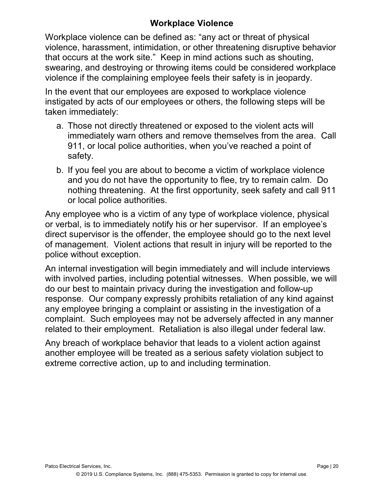## **Workplace Violence**

Workplace violence can be defined as: "any act or threat of physical violence, harassment, intimidation, or other threatening disruptive behavior that occurs at the work site." Keep in mind actions such as shouting, swearing, and destroying or throwing items could be considered workplace violence if the complaining employee feels their safety is in jeopardy.

In the event that our employees are exposed to workplace violence instigated by acts of our employees or others, the following steps will be taken immediately:

- a. Those not directly threatened or exposed to the violent acts will immediately warn others and remove themselves from the area. Call 911, or local police authorities, when you've reached a point of safety.
- b. If you feel you are about to become a victim of workplace violence and you do not have the opportunity to flee, try to remain calm. Do nothing threatening. At the first opportunity, seek safety and call 911 or local police authorities.

Any employee who is a victim of any type of workplace violence, physical or verbal, is to immediately notify his or her supervisor. If an employee's direct supervisor is the offender, the employee should go to the next level of management. Violent actions that result in injury will be reported to the police without exception.

An internal investigation will begin immediately and will include interviews with involved parties, including potential witnesses. When possible, we will do our best to maintain privacy during the investigation and follow-up response. Our company expressly prohibits retaliation of any kind against any employee bringing a complaint or assisting in the investigation of a complaint. Such employees may not be adversely affected in any manner related to their employment. Retaliation is also illegal under federal law.

Any breach of workplace behavior that leads to a violent action against another employee will be treated as a serious safety violation subject to extreme corrective action, up to and including termination.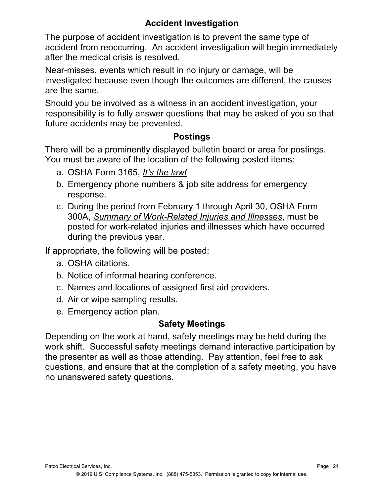## **Accident Investigation**

The purpose of accident investigation is to prevent the same type of accident from reoccurring. An accident investigation will begin immediately after the medical crisis is resolved.

Near-misses, events which result in no injury or damage, will be investigated because even though the outcomes are different, the causes are the same.

Should you be involved as a witness in an accident investigation, your responsibility is to fully answer questions that may be asked of you so that future accidents may be prevented.

### **Postings**

There will be a prominently displayed bulletin board or area for postings. You must be aware of the location of the following posted items:

- a. OSHA Form 3165, *It's the law!*
- b. Emergency phone numbers & job site address for emergency response.
- c. During the period from February 1 through April 30, OSHA Form 300A, *Summary of Work-Related Injuries and Illnesses*, must be posted for work-related injuries and illnesses which have occurred during the previous year.

If appropriate, the following will be posted:

- a. OSHA citations.
- b. Notice of informal hearing conference.
- c. Names and locations of assigned first aid providers.
- d. Air or wipe sampling results.
- e. Emergency action plan.

## **Safety Meetings**

Depending on the work at hand, safety meetings may be held during the work shift. Successful safety meetings demand interactive participation by the presenter as well as those attending. Pay attention, feel free to ask questions, and ensure that at the completion of a safety meeting, you have no unanswered safety questions.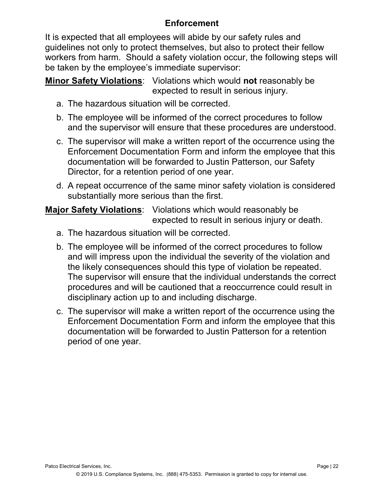## **Enforcement**

It is expected that all employees will abide by our safety rules and guidelines not only to protect themselves, but also to protect their fellow workers from harm. Should a safety violation occur, the following steps will be taken by the employee's immediate supervisor:

**Minor Safety Violations**: Violations which would **not** reasonably be expected to result in serious injury.

- a. The hazardous situation will be corrected.
- b. The employee will be informed of the correct procedures to follow and the supervisor will ensure that these procedures are understood.
- c. The supervisor will make a written report of the occurrence using the Enforcement Documentation Form and inform the employee that this documentation will be forwarded to Justin Patterson, our Safety Director, for a retention period of one year.
- d. A repeat occurrence of the same minor safety violation is considered substantially more serious than the first.

#### **Major Safety Violations**: Violations which would reasonably be expected to result in serious injury or death.

- a. The hazardous situation will be corrected.
- b. The employee will be informed of the correct procedures to follow and will impress upon the individual the severity of the violation and the likely consequences should this type of violation be repeated. The supervisor will ensure that the individual understands the correct procedures and will be cautioned that a reoccurrence could result in disciplinary action up to and including discharge.
- c. The supervisor will make a written report of the occurrence using the Enforcement Documentation Form and inform the employee that this documentation will be forwarded to Justin Patterson for a retention period of one year.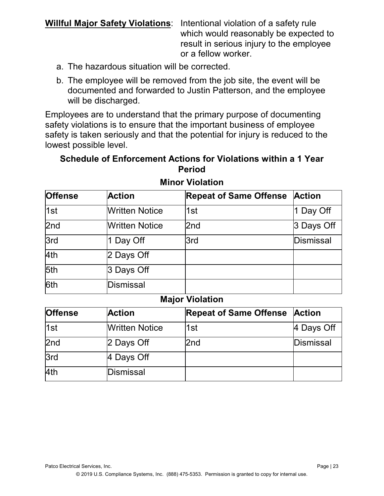**Willful Major Safety Violations**: Intentional violation of a safety rule which would reasonably be expected to result in serious injury to the employee or a fellow worker.

- a. The hazardous situation will be corrected.
- b. The employee will be removed from the job site, the event will be documented and forwarded to Justin Patterson, and the employee will be discharged.

Employees are to understand that the primary purpose of documenting safety violations is to ensure that the important business of employee safety is taken seriously and that the potential for injury is reduced to the lowest possible level.

#### **Schedule of Enforcement Actions for Violations within a 1 Year Period**

| Offense          | <b>Action</b>         | <b>Repeat of Same Offense</b> | <b>Action</b> |
|------------------|-----------------------|-------------------------------|---------------|
| 1st              | <b>Written Notice</b> | 1st                           | 1 Day Off     |
| 2nd              | <b>Written Notice</b> | 2nd                           | 3 Days Off    |
| $\overline{3rd}$ | 1 Day Off             | 3rd                           | Dismissal     |
| 4th              | 2 Days Off            |                               |               |
| 5th              | 3 Days Off            |                               |               |
| 6th              | Dismissal             |                               |               |

#### **Minor Violation**

#### **Major Violation**

| <b>Offense</b>  | <b>Action</b>         | <b>Repeat of Same Offense</b> | <b>Action</b> |
|-----------------|-----------------------|-------------------------------|---------------|
| 1st             | <b>Written Notice</b> | 1st                           | 4 Days Off    |
| 2 <sub>nd</sub> | 2 Days Off            | 2nd                           | Dismissal     |
| 3rd             | 4 Days Off            |                               |               |
| 4th             | <b>Dismissal</b>      |                               |               |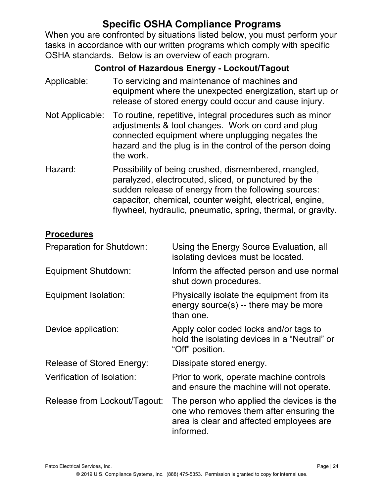## **Specific OSHA Compliance Programs**

When you are confronted by situations listed below, you must perform your tasks in accordance with our written programs which comply with specific OSHA standards. Below is an overview of each program.

## **Control of Hazardous Energy - Lockout/Tagout**

- Applicable: To servicing and maintenance of machines and equipment where the unexpected energization, start up or release of stored energy could occur and cause injury.
- Not Applicable: To routine, repetitive, integral procedures such as minor adjustments & tool changes. Work on cord and plug connected equipment where unplugging negates the hazard and the plug is in the control of the person doing the work.
- Hazard: Possibility of being crushed, dismembered, mangled, paralyzed, electrocuted, sliced, or punctured by the sudden release of energy from the following sources: capacitor, chemical, counter weight, electrical, engine, flywheel, hydraulic, pneumatic, spring, thermal, or gravity.

#### **Procedures**

| <b>Preparation for Shutdown:</b> | Using the Energy Source Evaluation, all<br>isolating devices must be located.                                                                 |
|----------------------------------|-----------------------------------------------------------------------------------------------------------------------------------------------|
| Equipment Shutdown:              | Inform the affected person and use normal<br>shut down procedures.                                                                            |
| Equipment Isolation:             | Physically isolate the equipment from its<br>energy source(s) -- there may be more<br>than one.                                               |
| Device application:              | Apply color coded locks and/or tags to<br>hold the isolating devices in a "Neutral" or<br>"Off" position.                                     |
| Release of Stored Energy:        | Dissipate stored energy.                                                                                                                      |
| Verification of Isolation:       | Prior to work, operate machine controls<br>and ensure the machine will not operate.                                                           |
| Release from Lockout/Tagout:     | The person who applied the devices is the<br>one who removes them after ensuring the<br>area is clear and affected employees are<br>informed. |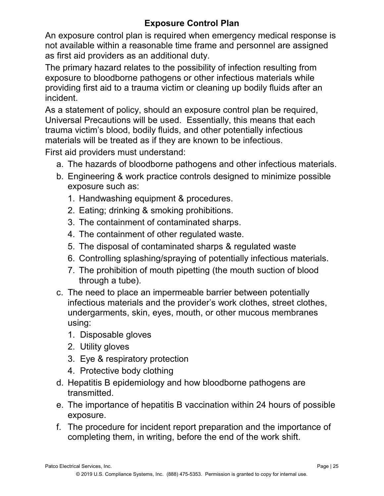## **Exposure Control Plan**

An exposure control plan is required when emergency medical response is not available within a reasonable time frame and personnel are assigned as first aid providers as an additional duty.

The primary hazard relates to the possibility of infection resulting from exposure to bloodborne pathogens or other infectious materials while providing first aid to a trauma victim or cleaning up bodily fluids after an incident.

As a statement of policy, should an exposure control plan be required, Universal Precautions will be used. Essentially, this means that each trauma victim's blood, bodily fluids, and other potentially infectious materials will be treated as if they are known to be infectious.

First aid providers must understand:

- a. The hazards of bloodborne pathogens and other infectious materials.
- b. Engineering & work practice controls designed to minimize possible exposure such as:
	- 1. Handwashing equipment & procedures.
	- 2. Eating; drinking & smoking prohibitions.
	- 3. The containment of contaminated sharps.
	- 4. The containment of other regulated waste.
	- 5. The disposal of contaminated sharps & regulated waste
	- 6. Controlling splashing/spraying of potentially infectious materials.
	- 7. The prohibition of mouth pipetting (the mouth suction of blood through a tube).
- c. The need to place an impermeable barrier between potentially infectious materials and the provider's work clothes, street clothes, undergarments, skin, eyes, mouth, or other mucous membranes using:
	- 1. Disposable gloves
	- 2. Utility gloves
	- 3. Eye & respiratory protection
	- 4. Protective body clothing
- d. Hepatitis B epidemiology and how bloodborne pathogens are transmitted.
- e. The importance of hepatitis B vaccination within 24 hours of possible exposure.
- f. The procedure for incident report preparation and the importance of completing them, in writing, before the end of the work shift.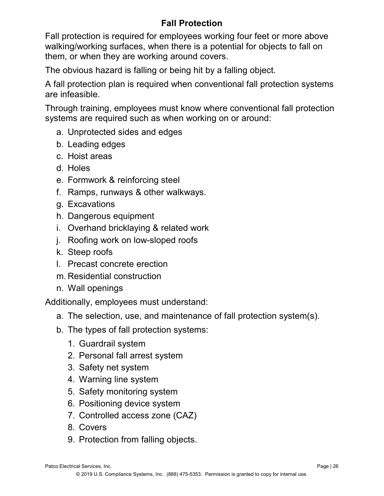## **Fall Protection**

Fall protection is required for employees working four feet or more above walking/working surfaces, when there is a potential for objects to fall on them, or when they are working around covers.

The obvious hazard is falling or being hit by a falling object.

A fall protection plan is required when conventional fall protection systems are infeasible.

Through training, employees must know where conventional fall protection systems are required such as when working on or around:

- a. Unprotected sides and edges
- b. Leading edges
- c. Hoist areas
- d. Holes
- e. Formwork & reinforcing steel
- f. Ramps, runways & other walkways.
- g. Excavations
- h. Dangerous equipment
- i. Overhand bricklaying & related work
- j. Roofing work on low-sloped roofs
- k. Steep roofs
- l. Precast concrete erection
- m. Residential construction
- n. Wall openings

Additionally, employees must understand:

- a. The selection, use, and maintenance of fall protection system(s).
- b. The types of fall protection systems:
	- 1. Guardrail system
	- 2. Personal fall arrest system
	- 3. Safety net system
	- 4. Warning line system
	- 5. Safety monitoring system
	- 6. Positioning device system
	- 7. Controlled access zone (CAZ)
	- 8. Covers
	- 9. Protection from falling objects.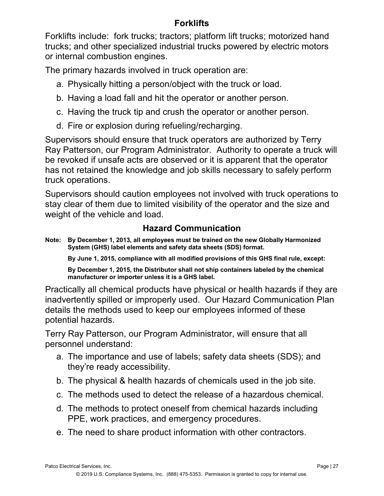## **Forklifts**

Forklifts include: fork trucks; tractors; platform lift trucks; motorized hand trucks; and other specialized industrial trucks powered by electric motors or internal combustion engines.

The primary hazards involved in truck operation are:

- a. Physically hitting a person/object with the truck or load.
- b. Having a load fall and hit the operator or another person.
- c. Having the truck tip and crush the operator or another person.
- d. Fire or explosion during refueling/recharging.

Supervisors should ensure that truck operators are authorized by Terry Ray Patterson, our Program Administrator. Authority to operate a truck will be revoked if unsafe acts are observed or it is apparent that the operator has not retained the knowledge and job skills necessary to safely perform truck operations.

Supervisors should caution employees not involved with truck operations to stay clear of them due to limited visibility of the operator and the size and weight of the vehicle and load.

## **Hazard Communication**

**Note: By December 1, 2013, all employees must be trained on the new Globally Harmonized System (GHS) label elements and safety data sheets (SDS) format.**

**By June 1, 2015, compliance with all modified provisions of this GHS final rule, except:** 

**By December 1, 2015, the Distributor shall not ship containers labeled by the chemical manufacturer or importer unless it is a GHS label.**

Practically all chemical products have physical or health hazards if they are inadvertently spilled or improperly used. Our Hazard Communication Plan details the methods used to keep our employees informed of these potential hazards.

Terry Ray Patterson, our Program Administrator, will ensure that all personnel understand:

- a. The importance and use of labels; safety data sheets (SDS); and they're ready accessibility.
- b. The physical & health hazards of chemicals used in the job site.
- c. The methods used to detect the release of a hazardous chemical.
- d. The methods to protect oneself from chemical hazards including PPE, work practices, and emergency procedures.
- e. The need to share product information with other contractors.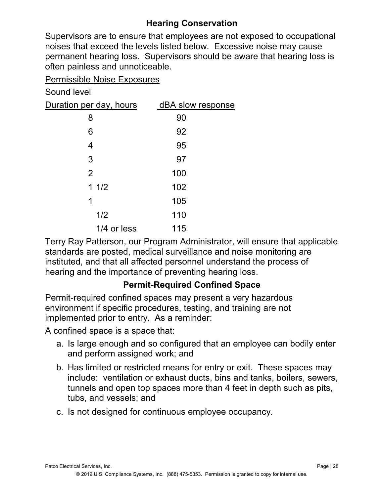## **Hearing Conservation**

Supervisors are to ensure that employees are not exposed to occupational noises that exceed the levels listed below. Excessive noise may cause permanent hearing loss. Supervisors should be aware that hearing loss is often painless and unnoticeable.

Permissible Noise Exposures

Sound level

| Duration per day, hours | dBA slow response |
|-------------------------|-------------------|
| 8                       | 90                |
| 6                       | 92                |
| 4                       | 95                |
| 3                       | 97                |
| $\overline{2}$          | 100               |
| 11/2                    | 102               |
| 1                       | 105               |
| 1/2                     | 110               |
| 1/4 or less             | 115               |
|                         |                   |

Terry Ray Patterson, our Program Administrator, will ensure that applicable standards are posted, medical surveillance and noise monitoring are instituted, and that all affected personnel understand the process of hearing and the importance of preventing hearing loss.

## **Permit-Required Confined Space**

Permit-required confined spaces may present a very hazardous environment if specific procedures, testing, and training are not implemented prior to entry. As a reminder:

A confined space is a space that:

- a. Is large enough and so configured that an employee can bodily enter and perform assigned work; and
- b. Has limited or restricted means for entry or exit. These spaces may include: ventilation or exhaust ducts, bins and tanks, boilers, sewers, tunnels and open top spaces more than 4 feet in depth such as pits, tubs, and vessels; and
- c. Is not designed for continuous employee occupancy.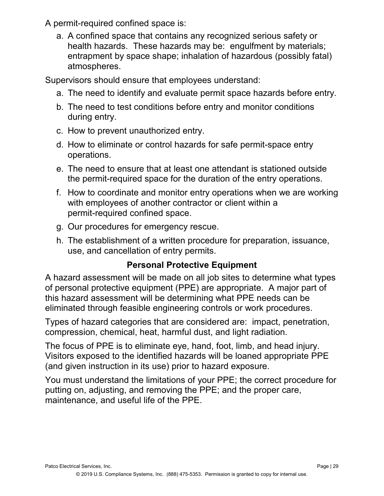A permit-required confined space is:

a. A confined space that contains any recognized serious safety or health hazards. These hazards may be: engulfment by materials; entrapment by space shape; inhalation of hazardous (possibly fatal) atmospheres.

Supervisors should ensure that employees understand:

- a. The need to identify and evaluate permit space hazards before entry.
- b. The need to test conditions before entry and monitor conditions during entry.
- c. How to prevent unauthorized entry.
- d. How to eliminate or control hazards for safe permit-space entry operations.
- e. The need to ensure that at least one attendant is stationed outside the permit-required space for the duration of the entry operations.
- f. How to coordinate and monitor entry operations when we are working with employees of another contractor or client within a permit-required confined space.
- g. Our procedures for emergency rescue.
- h. The establishment of a written procedure for preparation, issuance, use, and cancellation of entry permits.

## **Personal Protective Equipment**

A hazard assessment will be made on all job sites to determine what types of personal protective equipment (PPE) are appropriate. A major part of this hazard assessment will be determining what PPE needs can be eliminated through feasible engineering controls or work procedures.

Types of hazard categories that are considered are: impact, penetration, compression, chemical, heat, harmful dust, and light radiation.

The focus of PPE is to eliminate eye, hand, foot, limb, and head injury. Visitors exposed to the identified hazards will be loaned appropriate PPE (and given instruction in its use) prior to hazard exposure.

You must understand the limitations of your PPE; the correct procedure for putting on, adjusting, and removing the PPE; and the proper care, maintenance, and useful life of the PPE.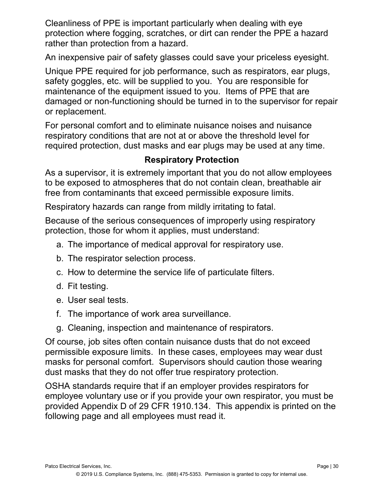Cleanliness of PPE is important particularly when dealing with eye protection where fogging, scratches, or dirt can render the PPE a hazard rather than protection from a hazard.

An inexpensive pair of safety glasses could save your priceless eyesight.

Unique PPE required for job performance, such as respirators, ear plugs, safety goggles, etc. will be supplied to you. You are responsible for maintenance of the equipment issued to you. Items of PPE that are damaged or non-functioning should be turned in to the supervisor for repair or replacement.

For personal comfort and to eliminate nuisance noises and nuisance respiratory conditions that are not at or above the threshold level for required protection, dust masks and ear plugs may be used at any time.

## **Respiratory Protection**

As a supervisor, it is extremely important that you do not allow employees to be exposed to atmospheres that do not contain clean, breathable air free from contaminants that exceed permissible exposure limits.

Respiratory hazards can range from mildly irritating to fatal.

Because of the serious consequences of improperly using respiratory protection, those for whom it applies, must understand:

- a. The importance of medical approval for respiratory use.
- b. The respirator selection process.
- c. How to determine the service life of particulate filters.
- d. Fit testing.
- e. User seal tests.
- f. The importance of work area surveillance.
- g. Cleaning, inspection and maintenance of respirators.

Of course, job sites often contain nuisance dusts that do not exceed permissible exposure limits. In these cases, employees may wear dust masks for personal comfort. Supervisors should caution those wearing dust masks that they do not offer true respiratory protection.

OSHA standards require that if an employer provides respirators for employee voluntary use or if you provide your own respirator, you must be provided Appendix D of 29 CFR 1910.134. This appendix is printed on the following page and all employees must read it.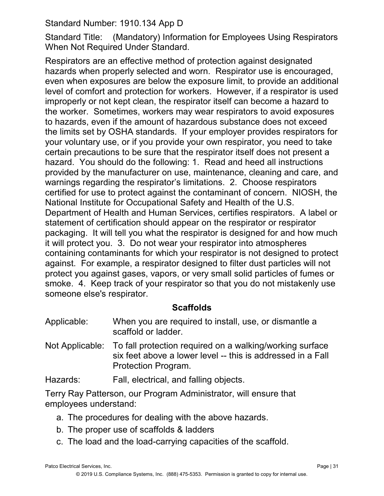Standard Number: 1910.134 App D

Standard Title: (Mandatory) Information for Employees Using Respirators When Not Required Under Standard.

Respirators are an effective method of protection against designated hazards when properly selected and worn. Respirator use is encouraged, even when exposures are below the exposure limit, to provide an additional level of comfort and protection for workers. However, if a respirator is used improperly or not kept clean, the respirator itself can become a hazard to the worker. Sometimes, workers may wear respirators to avoid exposures to hazards, even if the amount of hazardous substance does not exceed the limits set by OSHA standards. If your employer provides respirators for your voluntary use, or if you provide your own respirator, you need to take certain precautions to be sure that the respirator itself does not present a hazard. You should do the following: 1. Read and heed all instructions provided by the manufacturer on use, maintenance, cleaning and care, and warnings regarding the respirator's limitations. 2. Choose respirators certified for use to protect against the contaminant of concern. NIOSH, the National Institute for Occupational Safety and Health of the U.S. Department of Health and Human Services, certifies respirators. A label or statement of certification should appear on the respirator or respirator packaging. It will tell you what the respirator is designed for and how much it will protect you. 3. Do not wear your respirator into atmospheres containing contaminants for which your respirator is not designed to protect against. For example, a respirator designed to filter dust particles will not protect you against gases, vapors, or very small solid particles of fumes or smoke. 4. Keep track of your respirator so that you do not mistakenly use someone else's respirator.

## **Scaffolds**

| Applicable: | When you are required to install, use, or dismantle a |
|-------------|-------------------------------------------------------|
|             | scaffold or ladder.                                   |

Not Applicable: To fall protection required on a walking/working surface six feet above a lower level -- this is addressed in a Fall Protection Program.

Hazards: Fall, electrical, and falling objects.

Terry Ray Patterson, our Program Administrator, will ensure that employees understand:

- a. The procedures for dealing with the above hazards.
- b. The proper use of scaffolds & ladders
- c. The load and the load-carrying capacities of the scaffold.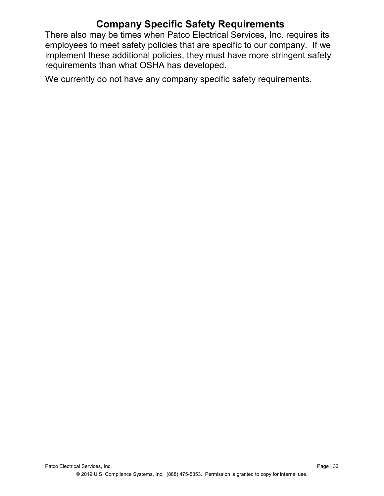## **Company Specific Safety Requirements**

There also may be times when Patco Electrical Services, Inc. requires its employees to meet safety policies that are specific to our company. If we implement these additional policies, they must have more stringent safety requirements than what OSHA has developed.

We currently do not have any company specific safety requirements.